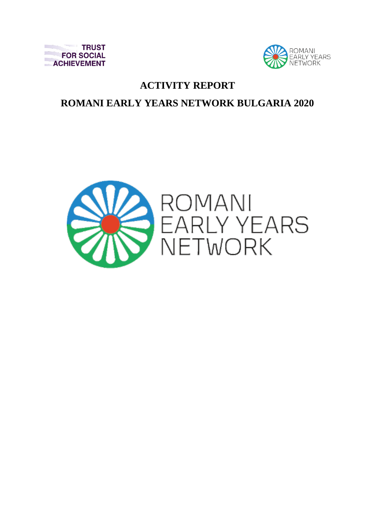



## **ACTIVITY REPORT**

# **ROMANI EARLY YEARS NETWORK BULGARIA 2020**

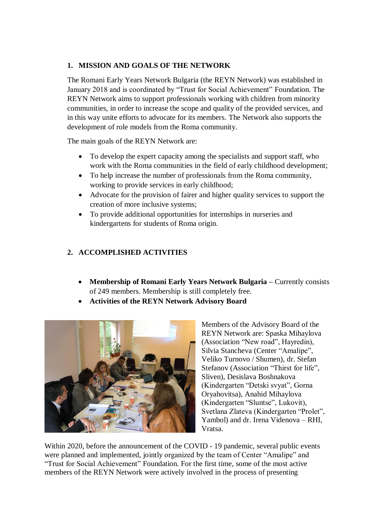## **1. MISSION AND GOALS OF THE NETWORK**

The Romani Early Years Network Bulgaria (the REYN Network) was established in January 2018 and is coordinated by "Trust for Social Achievement" Foundation. The REYN Network aims to support professionals working with children from minority communities, in order to increase the scope and quality of the provided services, and in this way unite efforts to advocate for its members. The Network also supports the development of role models from the Roma community.

The main goals of the REYN Network are:

- To develop the expert capacity among the specialists and support staff, who work with the Roma communities in the field of early childhood development;
- To help increase the number of professionals from the Roma community, working to provide services in early childhood;
- Advocate for the provision of fairer and higher quality services to support the creation of more inclusive systems;
- To provide additional opportunities for internships in nurseries and kindergartens for students of Roma origin.

## **2. ACCOMPLISHED ACTIVITIES**

- **Membership of Romani Early Years Network Bulgaria –** Currently consists of 249 members. Membership is still completely free.
- **Activities of the REYN Network Advisory Board**



Members of the Advisory Board of the REYN Network are: Spaska Mihaylova (Association "New road", Hayredin), Silvia Stancheva (Center "Amalipe", Veliko Turnovo / Shumen), dr. Stefan Stefanov (Association "Thirst for life", Sliven), Desislava Boshnakova (Kindergarten "Detski svyat", Gorna Oryahovitsa), Anahid Mihaylova (Kindergarten "Sluntse", Lukovit), Svetlana Zlateva (Kindergarten "Prolet", Yambol) and dr. Irena Videnova – RHI, Vratsa.

Within 2020, before the announcement of the COVID - 19 pandemic, several public events were planned and implemented, jointly organized by the team of Center "Amalipe" and "Trust for Social Achievement" Foundation. For the first time, some of the most active members of the REYN Network were actively involved in the process of presenting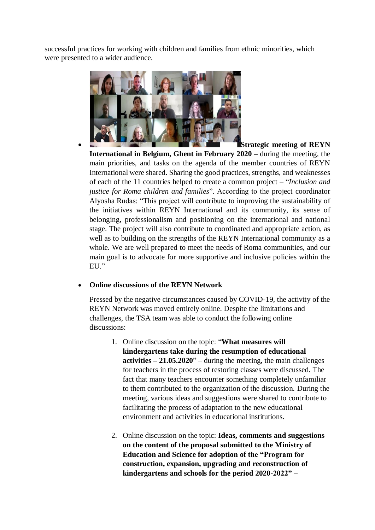successful practices for working with children and families from ethnic minorities, which were presented to a wider audience.



**Strategic meeting of REYN** 

**International in Belgium, Ghent in February 2020 –** during the meeting, the main priorities, and tasks on the agenda of the member countries of REYN International were shared. Sharing the good practices, strengths, and weaknesses of each of the 11 countries helped to create a common project – "*Inclusion and justice for Roma children and families*". According to the project coordinator Alyosha Rudas: "This project will contribute to improving the sustainability of the initiatives within REYN International and its community, its sense of belonging, professionalism and positioning on the international and national stage. The project will also contribute to coordinated and appropriate action, as well as to building on the strengths of the REYN International community as a whole. We are well prepared to meet the needs of Roma communities, and our main goal is to advocate for more supportive and inclusive policies within the EU."

## **Online discussions of the REYN Network**

Pressed by the negative circumstances caused by COVID-19, the activity of the REYN Network was moved entirely online. Despite the limitations and challenges, the TSA team was able to conduct the following online discussions:

- 1. Online discussion on the topic: "**What measures will kindergartens take during the resumption of educational activities – 21.05.2020**" – during the meeting, the main challenges for teachers in the process of restoring classes were discussed. The fact that many teachers encounter something completely unfamiliar to them contributed to the organization of the discussion. During the meeting, various ideas and suggestions were shared to contribute to facilitating the process of adaptation to the new educational environment and activities in educational institutions.
- 2. Online discussion on the topic: **Ideas, comments and suggestions on the content of the proposal submitted to the Ministry of Education and Science for adoption of the "Program for construction, expansion, upgrading and reconstruction of kindergartens and schools for the period 2020-2022" –**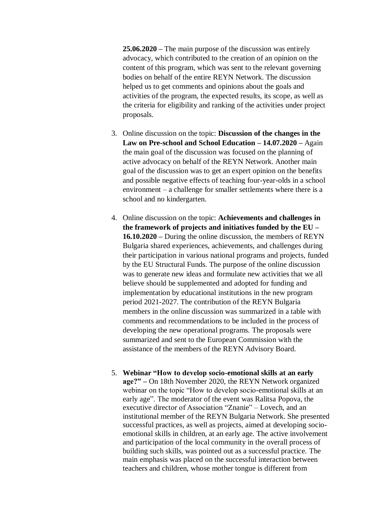**25.06.2020 –** The main purpose of the discussion was entirely advocacy, which contributed to the creation of an opinion on the content of this program, which was sent to the relevant governing bodies on behalf of the entire REYN Network. The discussion helped us to get comments and opinions about the goals and activities of the program, the expected results, its scope, as well as the criteria for eligibility and ranking of the activities under project proposals.

- 3. Online discussion on the topic: **Discussion of the changes in the Law on Pre-school and School Education – 14.07.2020 –** Again the main goal of the discussion was focused on the planning of active advocacy on behalf of the REYN Network. Another main goal of the discussion was to get an expert opinion on the benefits and possible negative effects of teaching four-year-olds in a school environment – a challenge for smaller settlements where there is a school and no kindergarten.
- 4. Online discussion on the topic: **Achievements and challenges in the framework of projects and initiatives funded by the EU – 16.10.2020 –** During the online discussion, the members of REYN Bulgaria shared experiences, achievements, and challenges during their participation in various national programs and projects, funded by the EU Structural Funds. The purpose of the online discussion was to generate new ideas and formulate new activities that we all believe should be supplemented and adopted for funding and implementation by educational institutions in the new program period 2021-2027. The contribution of the REYN Bulgaria members in the online discussion was summarized in a table with comments and recommendations to be included in the process of developing the new operational programs. The proposals were summarized and sent to the European Commission with the assistance of the members of the REYN Advisory Board.
- 5. **Webinar "How to develop socio-emotional skills at an early age?" –** On 18th November 2020, the REYN Network organized webinar on the topic "How to develop socio-emotional skills at an early age". The moderator of the event was Ralitsa Popova, the executive director of Association "Znanie" – Lovech, and an institutional member of the REYN Bulgaria Network. She presented successful practices, as well as projects, aimed at developing socioemotional skills in children, at an early age. The active involvement and participation of the local community in the overall process of building such skills, was pointed out as a successful practice. The main emphasis was placed on the successful interaction between teachers and children, whose mother tongue is different from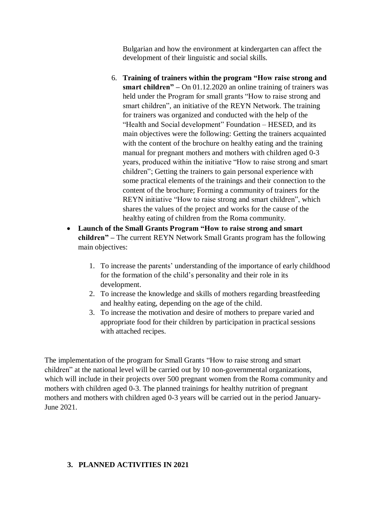Bulgarian and how the environment at kindergarten can affect the development of their linguistic and social skills.

- 6. **Training of trainers within the program "How raise strong and smart children" –** On 01.12.2020 an online training of trainers was held under the Program for small grants "How to raise strong and smart children", an initiative of the REYN Network. The training for trainers was organized and conducted with the help of the "Health and Social development" Foundation – HESED, and its main objectives were the following: Getting the trainers acquainted with the content of the brochure on healthy eating and the training manual for pregnant mothers and mothers with children aged 0-3 years, produced within the initiative "How to raise strong and smart children"; Getting the trainers to gain personal experience with some practical elements of the trainings and their connection to the content of the brochure; Forming a community of trainers for the REYN initiative "How to raise strong and smart children", which shares the values of the project and works for the cause of the healthy eating of children from the Roma community.
- **Launch of the Small Grants Program "How to raise strong and smart children" –** The current REYN Network Small Grants program has the following main objectives:
	- 1. To increase the parents' understanding of the importance of early childhood for the formation of the child's personality and their role in its development.
	- 2. To increase the knowledge and skills of mothers regarding breastfeeding and healthy eating, depending on the age of the child.
	- 3. To increase the motivation and desire of mothers to prepare varied and appropriate food for their children by participation in practical sessions with attached recipes.

The implementation of the program for Small Grants "How to raise strong and smart children" at the national level will be carried out by 10 non-governmental organizations, which will include in their projects over 500 pregnant women from the Roma community and mothers with children aged 0-3. The planned trainings for healthy nutrition of pregnant mothers and mothers with children aged 0-3 years will be carried out in the period January-June 2021.

## **3. PLANNED ACTIVITIES IN 2021**